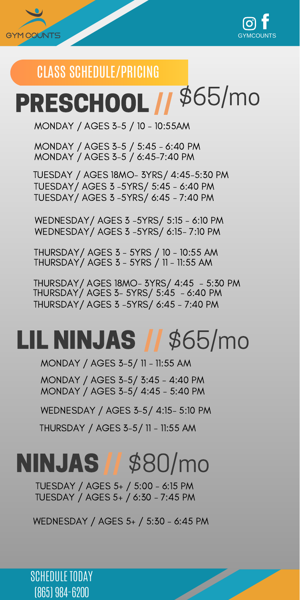



## CLASS SCHEDULE/PRICING

# PRESCHOOL // \$65/mo

MONDAY / AGES 3-5 / 10 - 10:55AM

MONDAY / AGES 3-5 / 5:45 - 6:40 PM MONDAY / AGES 3-5 / 6:45-7:40 PM

TUESDAY / AGES 18MO- 3YRS/ 4:45-5:30 PM TUESDAY/ AGES 3 -5YRS/ 5:45 - 6:40 PM TUESDAY/ AGES 3 -5YRS/ 6:45 - 7:40 PM

WEDNESDAY/ AGES 3 -5YRS/ 5:15 - 6:10 PM WEDNESDAY/ AGES 3 -5YRS/ 6:15- 7:10 PM

THURSDAY/ AGES 3 - 5YRS / 10 - 10:55 AM THURSDAY/ AGES 3 - 5YRS / 11 - 11:55 AM

THURSDAY/ AGES 3- 5YRS/ 5:45 - 6:40 PM THURSDAY/ AGES 18MO- 3YRS/ 4:45 - 5:30 PM THURSDAY/ AGES 3 -5YRS/ 6:45 - 7:40 PM

#### LIL NINJAS // \$65/mo

MONDAY / AGES 3-5/ 11 - 11:55 AM

MONDAY / AGES 3-5/ 4:45 - 5:40 PM MONDAY / AGES 3-5/ 3:45 - 4:40 PM

WEDNESDAY / AGES 3-5/ 4:15- 5:10 PM

THURSDAY / AGES 3-5/ 11 - 11:55 AM

#### // \$80/mo NINJAS

TUESDAY / AGES 5+ / 6:30 - 7:45 PM TUESDAY / AGES 5+ / 5:00 - 6:15 PM

WEDNESDAY / AGES 5+ / 5:30 - 6:45 PM

Z

SCHEDULE TODAY (865) 984-6200